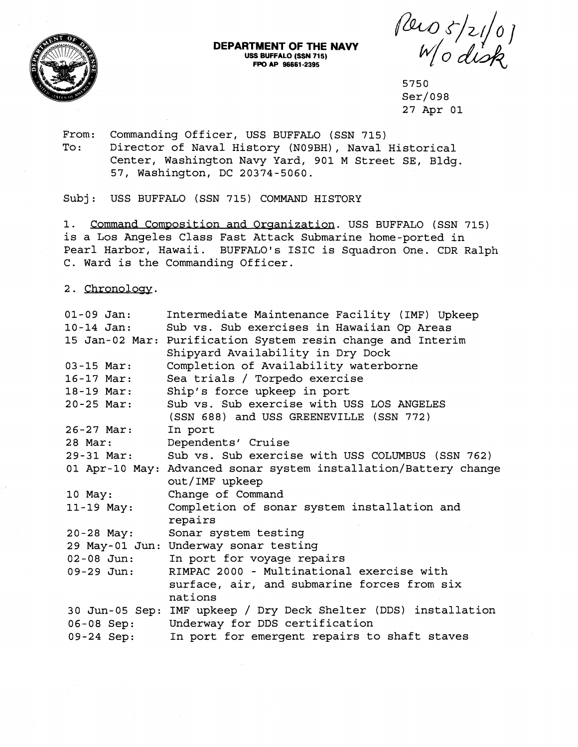

## **DEPARTMENT OF THE NAVY USS BUFFALO (SSN 715) FPO AP 96661-2395**

Pero 5/21/0]

5750  $Ser/098$ 27 Apr 01

From: Commanding Officer, USS BUFFALO (SSN 715)

To: Director of Naval History (N09BH), Naval Historical Center, Washington Navy Yard, 901 M Street SE, Bldg. 57, Washington, DC 20374-5060.

Subj: USS BUFFALO (SSN 715) COMMAND HISTORY

1. Command Composition and Organization. USS BUFFALO (SSN 715) is a Los Angeles Class Fast Attack Submarine home-ported in Pearl Harbor, Hawaii. BUFFALO'S ISIC is Squadron One. CDR Ralph C. Ward is the Commanding Officer.

2. Chronology.

| $01 - 09$ Jan: | Intermediate Maintenance Facility (IMF) Upkeep                   |
|----------------|------------------------------------------------------------------|
| 10-14 Jan:     | Sub vs. Sub exercises in Hawaiian Op Areas                       |
|                | 15 Jan-02 Mar: Purification System resin change and Interim      |
|                | Shipyard Availability in Dry Dock                                |
| $03 - 15$ Mar: | Completion of Availability waterborne                            |
| $16 - 17$ Mar: | Sea trials / Torpedo exercise                                    |
| 18-19 Mar:     | Ship's force upkeep in port                                      |
| $20 - 25$ Mar: | Sub vs. Sub exercise with USS LOS ANGELES                        |
|                | (SSN 688) and USS GREENEVILLE (SSN 772)                          |
| 26-27 Mar:     | In port                                                          |
| 28 Mar:        | Dependents' Cruise                                               |
| 29-31 Mar:     | Sub vs. Sub exercise with USS COLUMBUS (SSN 762)                 |
|                | 01 Apr-10 May: Advanced sonar system installation/Battery change |
|                | out/IMF upkeep                                                   |
| 10 May:        | Change of Command                                                |
| $11-19$ May:   | Completion of sonar system installation and                      |
|                | repairs                                                          |
| $20 - 28$ May: | Sonar system testing                                             |
|                | 29 May-01 Jun: Underway sonar testing                            |
| $02 - 08$ Jun: | In port for voyage repairs                                       |
| $09 - 29$ Jun: | RIMPAC 2000 - Multinational exercise with                        |
|                | surface, air, and submarine forces from six                      |
|                | nations                                                          |
|                | 30 Jun-05 Sep: IMF upkeep / Dry Deck Shelter (DDS) installation  |
| 06-08 Sep:     | Underway for DDS certification                                   |
| 09-24 Sep:     | In port for emergent repairs to shaft staves                     |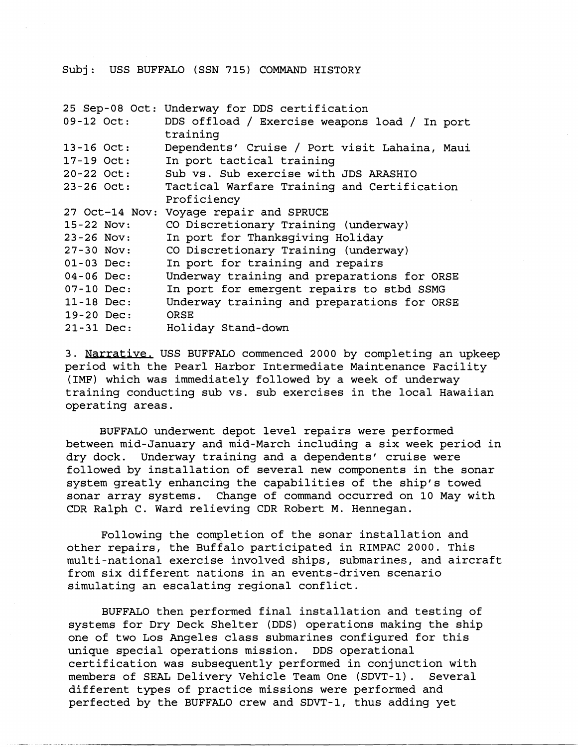## Subj: USS BUFFALO (SSN 715) COMMAND HISTORY

|                | 25 Sep-08 Oct: Underway for DDS certification |
|----------------|-----------------------------------------------|
| 09-12 Oct:     | DDS offload / Exercise weapons load / In port |
|                | training                                      |
| $13 - 16$ Oct: | Dependents' Cruise / Port visit Lahaina, Maui |
| $17 - 19$ Oct: | In port tactical training                     |
| $20 - 22$ Oct: | Sub vs. Sub exercise with JDS ARASHIO         |
| $23 - 26$ Oct: | Tactical Warfare Training and Certification   |
|                | Proficiency                                   |
|                | 27 Oct-14 Nov: Voyage repair and SPRUCE       |
| 15-22 Nov:     | CO Discretionary Training (underway)          |
| $23 - 26$ Nov: | In port for Thanksgiving Holiday              |
| $27 - 30$ Nov: | CO Discretionary Training (underway)          |
| $01 - 03$ Dec: | In port for training and repairs              |
| $04 - 06$ Dec: | Underway training and preparations for ORSE   |
| $07-10$ Dec:   | In port for emergent repairs to stbd SSMG     |
| $11 - 18$ Dec: | Underway training and preparations for ORSE   |
| $19-20$ Dec:   | ORSE                                          |
| $21 - 31$ Dec: | Holiday Stand-down                            |

3. Narrative, USS BUFFALO commenced 2000 by completing an upkeep period with the Pearl Harbor Intermediate Maintenance Facility (IMF) which was immediately followed by a week of underway training conducting sub vs. sub exercises in the local Hawaiian operating areas.

BUFFALO underwent depot level repairs were performed between mid-January and mid-March including a six week period in dry dock. Underway training and a dependents' cruise were followed by installation of several new components in the sonar system greatly enhancing the capabilities of the ship's towed sonar array systems. Change of command occurred on 10 May with CDR Ralph C. Ward relieving CDR Robert M. Hennegan.

Following the completion of the sonar installation and other repairs, the Buffalo participated in RIMPAC 2000. This multi-national exercise involved ships, submarines, and aircraft from six different nations in an events-driven scenario simulating an escalating regional conflict.

BUFFALO then performed final installation and testing of systems for Dry Deck Shelter (DDS) operations making the ship one of two Los Angeles class submarines configured for this unique special operations mission. DDS operational certification was subsequently performed in conjunction with members of SEAL Delivery Vehicle Team One (SDVT-1). Several different types of practice missions were performed and perfected by the BUFFALO crew and SDVT-1, thus adding yet